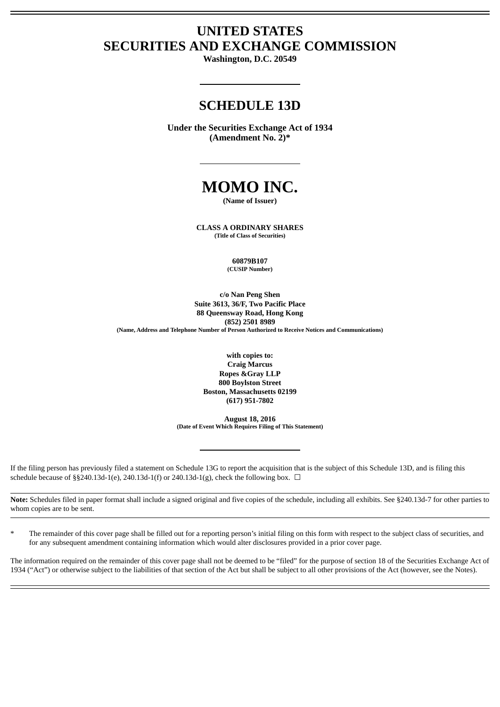# **UNITED STATES SECURITIES AND EXCHANGE COMMISSION**

**Washington, D.C. 20549**

# **SCHEDULE 13D**

**Under the Securities Exchange Act of 1934 (Amendment No. 2)\***

# **MOMO INC.**

**(Name of Issuer)**

**CLASS A ORDINARY SHARES (Title of Class of Securities)**

> **60879B107 (CUSIP Number)**

**c/o Nan Peng Shen Suite 3613, 36/F, Two Pacific Place 88 Queensway Road, Hong Kong (852) 2501 8989 (Name, Address and Telephone Number of Person Authorized to Receive Notices and Communications)**

> **with copies to: Craig Marcus Ropes &Gray LLP 800 Boylston Street Boston, Massachusetts 02199 (617) 951-7802**

**August 18, 2016 (Date of Event Which Requires Filing of This Statement)**

If the filing person has previously filed a statement on Schedule 13G to report the acquisition that is the subject of this Schedule 13D, and is filing this schedule because of §§240.13d-1(e), 240.13d-1(f) or 240.13d-1(g), check the following box.  $\Box$ 

**Note:** Schedules filed in paper format shall include a signed original and five copies of the schedule, including all exhibits. See §240.13d-7 for other parties to whom copies are to be sent.

The remainder of this cover page shall be filled out for a reporting person's initial filing on this form with respect to the subject class of securities, and for any subsequent amendment containing information which would alter disclosures provided in a prior cover page.

The information required on the remainder of this cover page shall not be deemed to be "filed" for the purpose of section 18 of the Securities Exchange Act of 1934 ("Act") or otherwise subject to the liabilities of that section of the Act but shall be subject to all other provisions of the Act (however, see the Notes).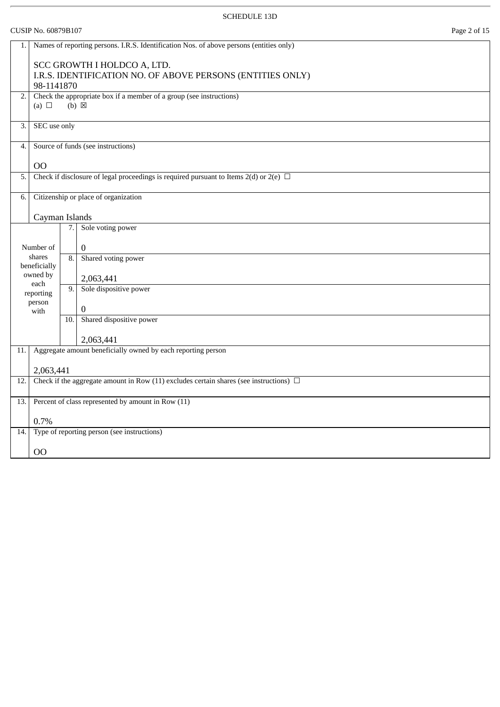|     | Page 2 of 15<br>CUSIP No. 60879B107                                                     |     |                                                                                             |  |
|-----|-----------------------------------------------------------------------------------------|-----|---------------------------------------------------------------------------------------------|--|
| 1.  | Names of reporting persons. I.R.S. Identification Nos. of above persons (entities only) |     |                                                                                             |  |
|     | 98-1141870                                                                              |     | SCC GROWTH I HOLDCO A, LTD.<br>I.R.S. IDENTIFICATION NO. OF ABOVE PERSONS (ENTITIES ONLY)   |  |
| 2.  | (a) $\Box$                                                                              |     | Check the appropriate box if a member of a group (see instructions)<br>$(b) \boxtimes$      |  |
| 3.  | SEC use only                                                                            |     |                                                                                             |  |
| 4.  |                                                                                         |     | Source of funds (see instructions)                                                          |  |
|     | O <sub>O</sub>                                                                          |     |                                                                                             |  |
| 5.  |                                                                                         |     | Check if disclosure of legal proceedings is required pursuant to Items 2(d) or 2(e) $\Box$  |  |
| 6.  |                                                                                         |     | Citizenship or place of organization                                                        |  |
|     | Cayman Islands                                                                          |     |                                                                                             |  |
|     |                                                                                         | 7.  | Sole voting power                                                                           |  |
|     | Number of                                                                               |     | $\mathbf{0}$                                                                                |  |
|     | shares<br>beneficially                                                                  | 8.  | Shared voting power                                                                         |  |
|     | owned by<br>each                                                                        |     | 2,063,441                                                                                   |  |
|     | reporting                                                                               | 9.  | Sole dispositive power                                                                      |  |
|     | person<br>with                                                                          |     | $\boldsymbol{0}$                                                                            |  |
|     |                                                                                         | 10. | Shared dispositive power                                                                    |  |
|     |                                                                                         |     | 2,063,441                                                                                   |  |
| 11. |                                                                                         |     | Aggregate amount beneficially owned by each reporting person                                |  |
|     | 2,063,441                                                                               |     |                                                                                             |  |
| 12. |                                                                                         |     | Check if the aggregate amount in Row (11) excludes certain shares (see instructions) $\Box$ |  |
| 13. |                                                                                         |     | Percent of class represented by amount in Row (11)                                          |  |
|     | 0.7%                                                                                    |     |                                                                                             |  |
| 14. |                                                                                         |     | Type of reporting person (see instructions)                                                 |  |
|     | O <sub>O</sub>                                                                          |     |                                                                                             |  |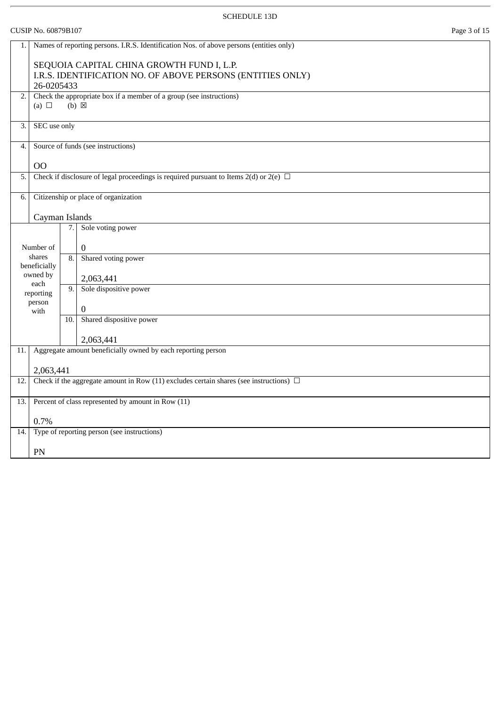|                                  | Page 3 of 15<br>CUSIP No. 60879B107                                                         |     |                                                                                                                                      |  |
|----------------------------------|---------------------------------------------------------------------------------------------|-----|--------------------------------------------------------------------------------------------------------------------------------------|--|
| 1.                               |                                                                                             |     | Names of reporting persons. I.R.S. Identification Nos. of above persons (entities only)<br>SEQUOIA CAPITAL CHINA GROWTH FUND I, L.P. |  |
|                                  | 26-0205433                                                                                  |     | I.R.S. IDENTIFICATION NO. OF ABOVE PERSONS (ENTITIES ONLY)                                                                           |  |
| 2.1                              | (a) $\Box$                                                                                  |     | Check the appropriate box if a member of a group (see instructions)<br>$(b)$ $\boxtimes$                                             |  |
| 3.                               | SEC use only                                                                                |     |                                                                                                                                      |  |
| 4.                               |                                                                                             |     | Source of funds (see instructions)                                                                                                   |  |
|                                  | 00                                                                                          |     |                                                                                                                                      |  |
| 5.                               |                                                                                             |     | Check if disclosure of legal proceedings is required pursuant to Items 2(d) or 2(e) $\Box$                                           |  |
| 6.                               |                                                                                             |     | Citizenship or place of organization                                                                                                 |  |
|                                  | Cayman Islands                                                                              |     |                                                                                                                                      |  |
|                                  |                                                                                             | 7.  | Sole voting power                                                                                                                    |  |
|                                  | Number of                                                                                   |     | $\mathbf{0}$                                                                                                                         |  |
|                                  | shares<br>beneficially                                                                      | 8.  | Shared voting power                                                                                                                  |  |
|                                  | owned by                                                                                    |     | 2,063,441                                                                                                                            |  |
|                                  | each<br>reporting                                                                           | 9.  | Sole dispositive power                                                                                                               |  |
| person<br>$\overline{0}$<br>with |                                                                                             |     |                                                                                                                                      |  |
|                                  |                                                                                             | 10. | Shared dispositive power                                                                                                             |  |
|                                  |                                                                                             |     | 2,063,441                                                                                                                            |  |
| 11.                              |                                                                                             |     | Aggregate amount beneficially owned by each reporting person                                                                         |  |
|                                  | 2,063,441                                                                                   |     |                                                                                                                                      |  |
| 12.                              | Check if the aggregate amount in Row (11) excludes certain shares (see instructions) $\Box$ |     |                                                                                                                                      |  |
| 13.1                             |                                                                                             |     | Percent of class represented by amount in Row (11)                                                                                   |  |
|                                  | 0.7%                                                                                        |     |                                                                                                                                      |  |
| 14.                              |                                                                                             |     | Type of reporting person (see instructions)                                                                                          |  |
|                                  | PN                                                                                          |     |                                                                                                                                      |  |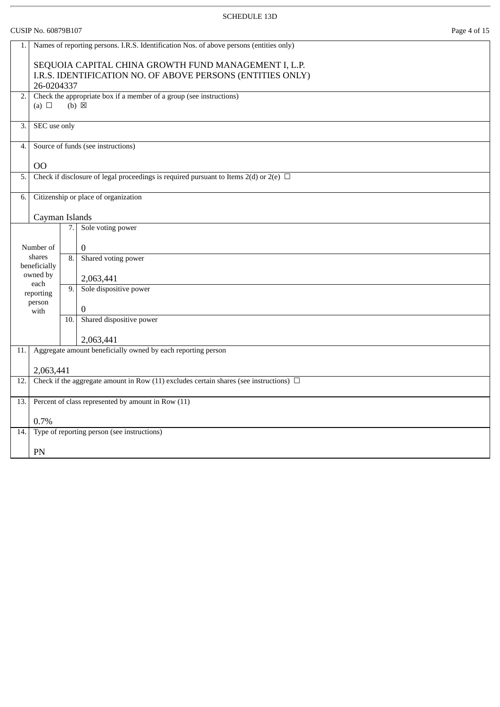CUSIP No. 60879B107 Page 4 of 15

| 1.  |                                                                          |     | Names of reporting persons. I.R.S. Identification Nos. of above persons (entities only)     |  |  |  |
|-----|--------------------------------------------------------------------------|-----|---------------------------------------------------------------------------------------------|--|--|--|
|     | SEQUOIA CAPITAL CHINA GROWTH FUND MANAGEMENT I, L.P.                     |     |                                                                                             |  |  |  |
|     | I.R.S. IDENTIFICATION NO. OF ABOVE PERSONS (ENTITIES ONLY)<br>26-0204337 |     |                                                                                             |  |  |  |
| 2.  |                                                                          |     | Check the appropriate box if a member of a group (see instructions)                         |  |  |  |
|     | (a) $\Box$                                                               |     | $(b) \boxtimes$                                                                             |  |  |  |
| 3.  | SEC use only                                                             |     |                                                                                             |  |  |  |
|     |                                                                          |     | Source of funds (see instructions)                                                          |  |  |  |
| 4.  |                                                                          |     |                                                                                             |  |  |  |
|     | O <sub>O</sub>                                                           |     |                                                                                             |  |  |  |
| 5.  |                                                                          |     | Check if disclosure of legal proceedings is required pursuant to Items 2(d) or 2(e) $\Box$  |  |  |  |
| 6.  |                                                                          |     | Citizenship or place of organization                                                        |  |  |  |
|     | Cayman Islands                                                           |     |                                                                                             |  |  |  |
|     |                                                                          | 7.1 | Sole voting power                                                                           |  |  |  |
|     | Number of                                                                |     | $\mathbf{0}$                                                                                |  |  |  |
|     | shares                                                                   | 8.  | Shared voting power                                                                         |  |  |  |
|     | beneficially<br>owned by                                                 |     | 2,063,441                                                                                   |  |  |  |
|     | each<br>reporting                                                        | 9.  | Sole dispositive power                                                                      |  |  |  |
|     | person                                                                   |     | $\mathbf{0}$                                                                                |  |  |  |
|     | with                                                                     | 10. | Shared dispositive power                                                                    |  |  |  |
|     |                                                                          |     | 2,063,441                                                                                   |  |  |  |
| 11. |                                                                          |     | Aggregate amount beneficially owned by each reporting person                                |  |  |  |
|     | 2,063,441                                                                |     |                                                                                             |  |  |  |
| 12. |                                                                          |     | Check if the aggregate amount in Row (11) excludes certain shares (see instructions) $\Box$ |  |  |  |
|     |                                                                          |     |                                                                                             |  |  |  |
| 13. |                                                                          |     | Percent of class represented by amount in Row (11)                                          |  |  |  |
|     | 0.7%                                                                     |     |                                                                                             |  |  |  |
| 14. |                                                                          |     | Type of reporting person (see instructions)                                                 |  |  |  |
|     | PN                                                                       |     |                                                                                             |  |  |  |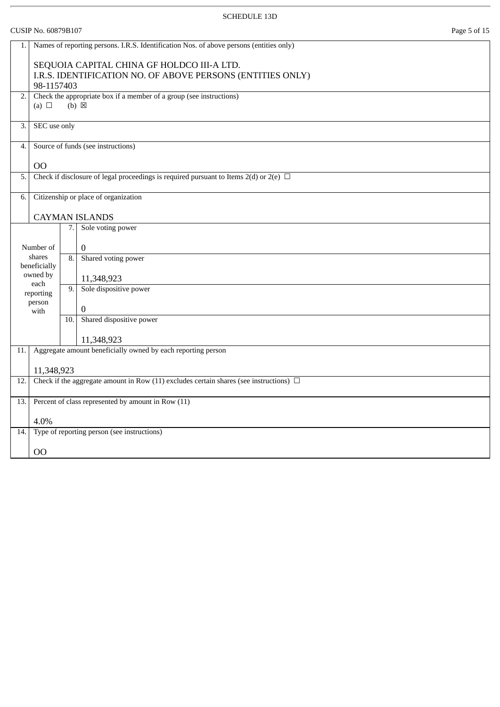|     | CUSIP No. 60879B107<br>Page 5 of 15                                                     |                  |                                                                                             |  |  |
|-----|-----------------------------------------------------------------------------------------|------------------|---------------------------------------------------------------------------------------------|--|--|
| 1.  | Names of reporting persons. I.R.S. Identification Nos. of above persons (entities only) |                  |                                                                                             |  |  |
|     | SEQUOIA CAPITAL CHINA GF HOLDCO III-A LTD.                                              |                  |                                                                                             |  |  |
|     | 98-1157403                                                                              |                  | I.R.S. IDENTIFICATION NO. OF ABOVE PERSONS (ENTITIES ONLY)                                  |  |  |
| 2.  |                                                                                         |                  | Check the appropriate box if a member of a group (see instructions)                         |  |  |
|     | (a) $\Box$                                                                              |                  | $(b) \boxtimes$                                                                             |  |  |
| 3.  | SEC use only                                                                            |                  |                                                                                             |  |  |
| 4.  |                                                                                         |                  | Source of funds (see instructions)                                                          |  |  |
|     | 00                                                                                      |                  |                                                                                             |  |  |
| 5.  |                                                                                         |                  | Check if disclosure of legal proceedings is required pursuant to Items 2(d) or 2(e) $\Box$  |  |  |
| 6.  |                                                                                         |                  | Citizenship or place of organization                                                        |  |  |
|     |                                                                                         |                  | <b>CAYMAN ISLANDS</b>                                                                       |  |  |
|     |                                                                                         | 7.               | Sole voting power                                                                           |  |  |
|     | Number of                                                                               |                  | $\mathbf{0}$                                                                                |  |  |
|     | shares<br>beneficially                                                                  | $\overline{8}$ . | Shared voting power                                                                         |  |  |
|     | owned by                                                                                |                  | 11,348,923                                                                                  |  |  |
|     | each<br>reporting                                                                       | 9.               | Sole dispositive power                                                                      |  |  |
|     | person<br>with                                                                          |                  | $\boldsymbol{0}$                                                                            |  |  |
|     |                                                                                         | 10.              | Shared dispositive power                                                                    |  |  |
|     |                                                                                         |                  | 11,348,923                                                                                  |  |  |
| 11. |                                                                                         |                  | Aggregate amount beneficially owned by each reporting person                                |  |  |
|     | 11,348,923                                                                              |                  |                                                                                             |  |  |
| 12. |                                                                                         |                  | Check if the aggregate amount in Row (11) excludes certain shares (see instructions) $\Box$ |  |  |
| 13. |                                                                                         |                  | Percent of class represented by amount in Row (11)                                          |  |  |
|     | 4.0%                                                                                    |                  |                                                                                             |  |  |
| 14. |                                                                                         |                  | Type of reporting person (see instructions)                                                 |  |  |
|     | OO                                                                                      |                  |                                                                                             |  |  |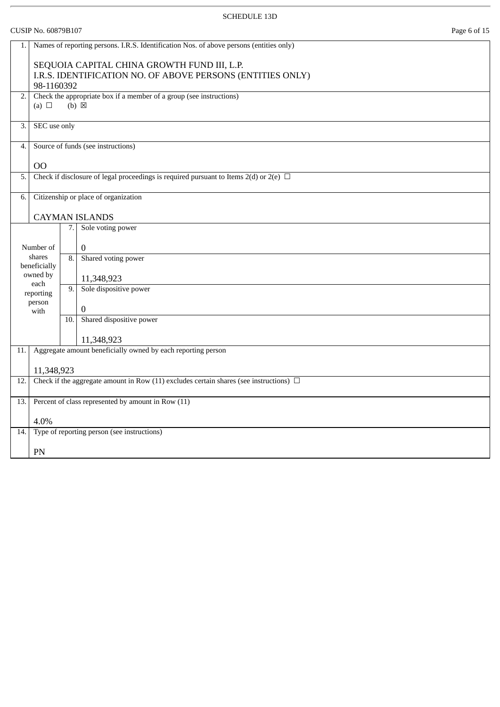|      | Page 6 of 15<br>CUSIP No. 60879B107                                                                                                    |  |  |  |
|------|----------------------------------------------------------------------------------------------------------------------------------------|--|--|--|
| 1.   | Names of reporting persons. I.R.S. Identification Nos. of above persons (entities only)<br>SEQUOIA CAPITAL CHINA GROWTH FUND III, L.P. |  |  |  |
|      | I.R.S. IDENTIFICATION NO. OF ABOVE PERSONS (ENTITIES ONLY)<br>98-1160392                                                               |  |  |  |
| 2.   | Check the appropriate box if a member of a group (see instructions)<br>$(b) \boxtimes$<br>(a) $\Box$                                   |  |  |  |
| 3.   | SEC use only                                                                                                                           |  |  |  |
| 4.   | Source of funds (see instructions)                                                                                                     |  |  |  |
|      | O <sub>O</sub>                                                                                                                         |  |  |  |
| 5.   | Check if disclosure of legal proceedings is required pursuant to Items 2(d) or 2(e) $\Box$                                             |  |  |  |
| 6.   | Citizenship or place of organization                                                                                                   |  |  |  |
|      | <b>CAYMAN ISLANDS</b>                                                                                                                  |  |  |  |
|      | Sole voting power<br>7.                                                                                                                |  |  |  |
|      | $\mathbf{0}$<br>Number of                                                                                                              |  |  |  |
|      | shares<br>Shared voting power<br>8.<br>beneficially                                                                                    |  |  |  |
|      | owned by<br>11,348,923                                                                                                                 |  |  |  |
|      | each<br>Sole dispositive power<br>9.<br>reporting                                                                                      |  |  |  |
|      | person<br>$\boldsymbol{0}$<br>with                                                                                                     |  |  |  |
|      | Shared dispositive power<br>10.                                                                                                        |  |  |  |
|      | 11,348,923                                                                                                                             |  |  |  |
| 11.  | Aggregate amount beneficially owned by each reporting person                                                                           |  |  |  |
|      | 11,348,923                                                                                                                             |  |  |  |
| 12.  | Check if the aggregate amount in Row (11) excludes certain shares (see instructions) $\Box$                                            |  |  |  |
| 13.1 | Percent of class represented by amount in Row (11)                                                                                     |  |  |  |
|      | 4.0%                                                                                                                                   |  |  |  |
| 14.  | Type of reporting person (see instructions)                                                                                            |  |  |  |
|      | PN                                                                                                                                     |  |  |  |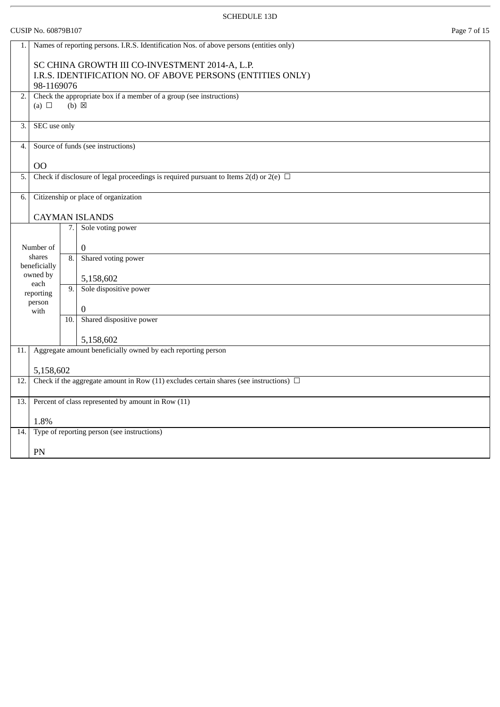|     | CUSIP No. 60879B107<br>Page 7 of 15                                                         |     |                                                                                                              |  |
|-----|---------------------------------------------------------------------------------------------|-----|--------------------------------------------------------------------------------------------------------------|--|
| 1.1 |                                                                                             |     | Names of reporting persons. I.R.S. Identification Nos. of above persons (entities only)                      |  |
|     | 98-1169076                                                                                  |     | SC CHINA GROWTH III CO-INVESTMENT 2014-A, L.P.<br>I.R.S. IDENTIFICATION NO. OF ABOVE PERSONS (ENTITIES ONLY) |  |
| 2.  | (a) $\Box$                                                                                  |     | Check the appropriate box if a member of a group (see instructions)<br>$(b) \boxtimes$                       |  |
| 3.  | SEC use only                                                                                |     |                                                                                                              |  |
| 4.  |                                                                                             |     | Source of funds (see instructions)                                                                           |  |
|     | <b>OO</b>                                                                                   |     |                                                                                                              |  |
| 5.  |                                                                                             |     | Check if disclosure of legal proceedings is required pursuant to Items 2(d) or 2(e) $\Box$                   |  |
| 6.  |                                                                                             |     | Citizenship or place of organization                                                                         |  |
|     |                                                                                             |     | <b>CAYMAN ISLANDS</b>                                                                                        |  |
|     |                                                                                             | 7.  | Sole voting power                                                                                            |  |
|     | Number of                                                                                   |     | $\mathbf{0}$                                                                                                 |  |
|     | shares<br>beneficially                                                                      | 8.  | Shared voting power                                                                                          |  |
|     | owned by<br>each                                                                            |     | 5,158,602                                                                                                    |  |
|     | reporting                                                                                   | 9.  | Sole dispositive power                                                                                       |  |
|     | person<br>with                                                                              |     | $\mathbf{0}$                                                                                                 |  |
|     |                                                                                             | 10. | Shared dispositive power                                                                                     |  |
|     |                                                                                             |     | 5,158,602                                                                                                    |  |
| 11. |                                                                                             |     | Aggregate amount beneficially owned by each reporting person                                                 |  |
|     | 5,158,602                                                                                   |     |                                                                                                              |  |
| 12. | Check if the aggregate amount in Row (11) excludes certain shares (see instructions) $\Box$ |     |                                                                                                              |  |
| 13. |                                                                                             |     | Percent of class represented by amount in Row (11)                                                           |  |
|     | 1.8%                                                                                        |     |                                                                                                              |  |
| 14. |                                                                                             |     | Type of reporting person (see instructions)                                                                  |  |
|     | PN                                                                                          |     |                                                                                                              |  |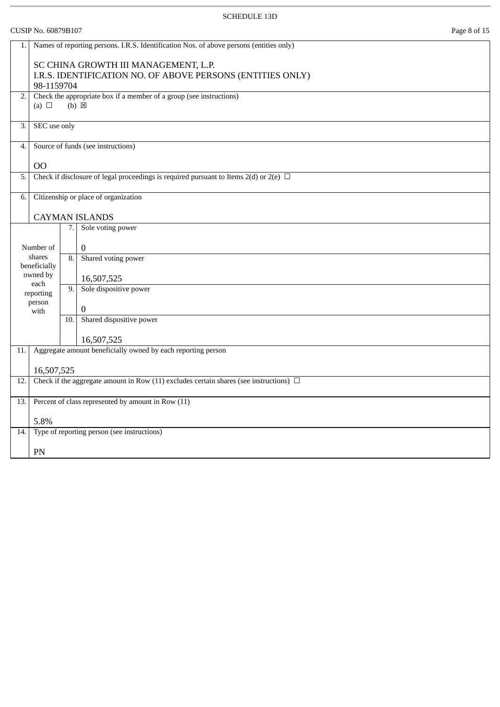|     | <b>CUSIP No. 60879B107</b>                                                                                       |     |                                                                                             | Page 8 of 15 |  |
|-----|------------------------------------------------------------------------------------------------------------------|-----|---------------------------------------------------------------------------------------------|--------------|--|
| 1.  |                                                                                                                  |     | Names of reporting persons. I.R.S. Identification Nos. of above persons (entities only)     |              |  |
|     | SC CHINA GROWTH III MANAGEMENT, L.P.<br>I.R.S. IDENTIFICATION NO. OF ABOVE PERSONS (ENTITIES ONLY)<br>98-1159704 |     |                                                                                             |              |  |
| 2.  | (a) $\Box$                                                                                                       |     | Check the appropriate box if a member of a group (see instructions)<br>$(b) \boxtimes$      |              |  |
| 3.  | SEC use only                                                                                                     |     |                                                                                             |              |  |
| 4.  |                                                                                                                  |     | Source of funds (see instructions)                                                          |              |  |
|     | O <sub>O</sub>                                                                                                   |     |                                                                                             |              |  |
| 5.  |                                                                                                                  |     | Check if disclosure of legal proceedings is required pursuant to Items 2(d) or 2(e) $\Box$  |              |  |
| 6.  |                                                                                                                  |     | Citizenship or place of organization                                                        |              |  |
|     |                                                                                                                  |     | <b>CAYMAN ISLANDS</b>                                                                       |              |  |
|     |                                                                                                                  |     | 7. Sole voting power                                                                        |              |  |
|     | Number of                                                                                                        |     | 0                                                                                           |              |  |
|     | shares<br>beneficially                                                                                           | 8.  | Shared voting power                                                                         |              |  |
|     | owned by                                                                                                         |     | 16,507,525                                                                                  |              |  |
|     | each<br>reporting                                                                                                | 9.  | Sole dispositive power                                                                      |              |  |
|     | person<br>with                                                                                                   |     | 0                                                                                           |              |  |
|     |                                                                                                                  | 10. | Shared dispositive power                                                                    |              |  |
|     |                                                                                                                  |     | 16,507,525                                                                                  |              |  |
| 11. |                                                                                                                  |     | Aggregate amount beneficially owned by each reporting person                                |              |  |
|     | 16,507,525                                                                                                       |     |                                                                                             |              |  |
| 12. |                                                                                                                  |     | Check if the aggregate amount in Row (11) excludes certain shares (see instructions) $\Box$ |              |  |
| 13. |                                                                                                                  |     | Percent of class represented by amount in Row (11)                                          |              |  |
|     | 5.8%                                                                                                             |     |                                                                                             |              |  |
| 14. |                                                                                                                  |     | Type of reporting person (see instructions)                                                 |              |  |
|     | PN                                                                                                               |     |                                                                                             |              |  |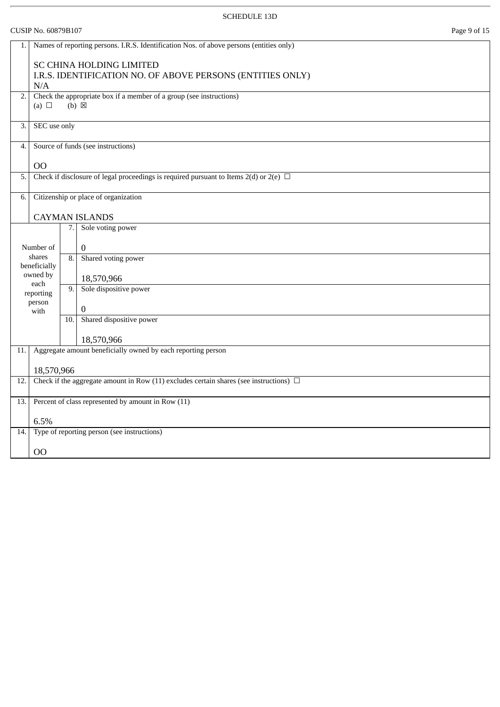# CUSIP No. 60879B107 Page 9 of 15 1. Names of reporting persons. I.R.S. Identification Nos. of above persons (entities only) SC CHINA HOLDING LIMITED I.R.S. IDENTIFICATION NO. OF ABOVE PERSONS (ENTITIES ONLY) N/A 2. Check the appropriate box if a member of a group (see instructions) (a)  $\Box$  (b)  $\boxtimes$ 3. SEC use only 4. Source of funds (see instructions) OO 5. Check if disclosure of legal proceedings is required pursuant to Items 2(d) or 2(e)  $\Box$ 6. Citizenship or place of organization CAYMAN ISLANDS Number of shares beneficially owned by each reporting person with 7. Sole voting power  $\Omega$ 8. Shared voting power 18,570,966 9. Sole dispositive power  $\Omega$ 10. Shared dispositive power 18,570,966 11. Aggregate amount beneficially owned by each reporting person 18,570,966 12. Check if the aggregate amount in Row (11) excludes certain shares (see instructions)  $\Box$ 13. Percent of class represented by amount in Row (11) 6.5% 14. Type of reporting person (see instructions) OO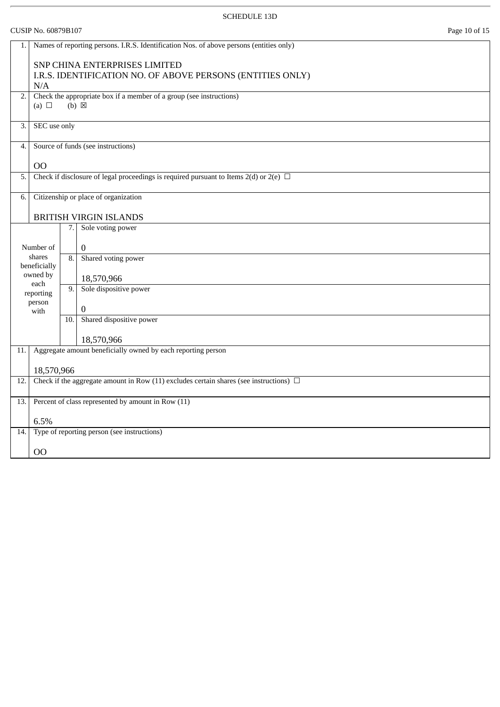|     | CUSIP No. 60879B107<br>Page 10 of 15 |     |                                                                                             |  |
|-----|--------------------------------------|-----|---------------------------------------------------------------------------------------------|--|
| 1.  |                                      |     | Names of reporting persons. I.R.S. Identification Nos. of above persons (entities only)     |  |
|     | N/A                                  |     | SNP CHINA ENTERPRISES LIMITED<br>I.R.S. IDENTIFICATION NO. OF ABOVE PERSONS (ENTITIES ONLY) |  |
| 2.  | (a) $\Box$                           |     | Check the appropriate box if a member of a group (see instructions)<br>$(b) \boxtimes$      |  |
| 3.  | SEC use only                         |     |                                                                                             |  |
| 4.  |                                      |     | Source of funds (see instructions)                                                          |  |
|     | 00                                   |     |                                                                                             |  |
| 5.  |                                      |     | Check if disclosure of legal proceedings is required pursuant to Items 2(d) or 2(e) $\Box$  |  |
| 6.  |                                      |     | Citizenship or place of organization                                                        |  |
|     |                                      |     | <b>BRITISH VIRGIN ISLANDS</b>                                                               |  |
|     |                                      | 7.  | Sole voting power                                                                           |  |
|     | Number of                            |     | $\mathbf{0}$                                                                                |  |
|     | shares<br>beneficially               | 8.  | Shared voting power                                                                         |  |
|     | owned by                             |     | 18,570,966                                                                                  |  |
|     | each<br>reporting                    | 9.  | Sole dispositive power                                                                      |  |
|     | person<br>with                       |     | $\mathbf{0}$                                                                                |  |
|     |                                      | 10. | Shared dispositive power                                                                    |  |
|     |                                      |     | 18,570,966                                                                                  |  |
| 11. |                                      |     | Aggregate amount beneficially owned by each reporting person                                |  |
|     | 18,570,966                           |     |                                                                                             |  |
| 12. |                                      |     | Check if the aggregate amount in Row (11) excludes certain shares (see instructions) $\Box$ |  |
| 13. |                                      |     | Percent of class represented by amount in Row (11)                                          |  |
|     | 6.5%                                 |     |                                                                                             |  |
| 14. |                                      |     | Type of reporting person (see instructions)                                                 |  |
|     | OO                                   |     |                                                                                             |  |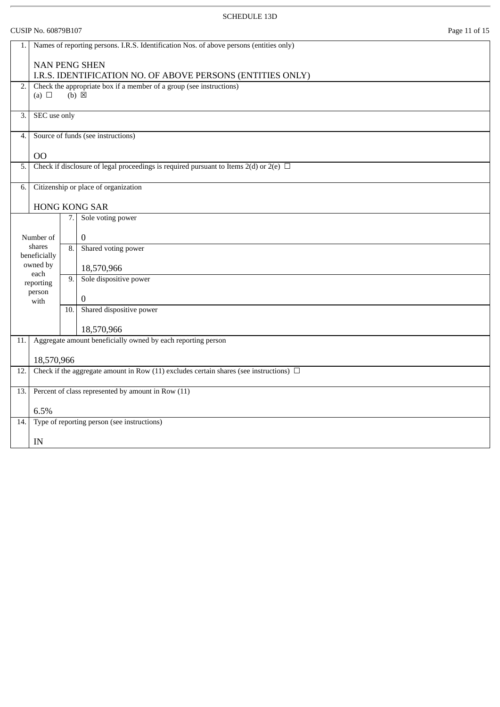| CUSIP No. 60879B107 | Page 11 of 15 |
|---------------------|---------------|
|                     |               |

| 1.  | Names of reporting persons. I.R.S. Identification Nos. of above persons (entities only) |                                                            |                                                                                             |  |  |  |
|-----|-----------------------------------------------------------------------------------------|------------------------------------------------------------|---------------------------------------------------------------------------------------------|--|--|--|
|     | <b>NAN PENG SHEN</b>                                                                    |                                                            |                                                                                             |  |  |  |
|     |                                                                                         | I.R.S. IDENTIFICATION NO. OF ABOVE PERSONS (ENTITIES ONLY) |                                                                                             |  |  |  |
| 2.  |                                                                                         |                                                            | Check the appropriate box if a member of a group (see instructions)                         |  |  |  |
|     | (a) $\Box$                                                                              |                                                            | $(b) \boxtimes$                                                                             |  |  |  |
| 3.  | SEC use only                                                                            |                                                            |                                                                                             |  |  |  |
|     |                                                                                         |                                                            |                                                                                             |  |  |  |
| 4.  |                                                                                         |                                                            | Source of funds (see instructions)                                                          |  |  |  |
|     | <b>OO</b>                                                                               |                                                            |                                                                                             |  |  |  |
| 5.  |                                                                                         |                                                            | Check if disclosure of legal proceedings is required pursuant to Items 2(d) or 2(e) $\Box$  |  |  |  |
| 6.  |                                                                                         |                                                            | Citizenship or place of organization                                                        |  |  |  |
|     |                                                                                         |                                                            |                                                                                             |  |  |  |
|     |                                                                                         |                                                            | HONG KONG SAR                                                                               |  |  |  |
|     |                                                                                         | 7.                                                         | Sole voting power                                                                           |  |  |  |
|     | Number of                                                                               |                                                            | $\mathbf{0}$                                                                                |  |  |  |
|     | shares<br>beneficially                                                                  | $\overline{8}$ .                                           | Shared voting power                                                                         |  |  |  |
|     | owned by                                                                                |                                                            | 18,570,966                                                                                  |  |  |  |
|     | each                                                                                    | 9.                                                         | Sole dispositive power                                                                      |  |  |  |
|     | reporting<br>person                                                                     |                                                            |                                                                                             |  |  |  |
|     | with                                                                                    |                                                            | 0                                                                                           |  |  |  |
|     |                                                                                         | 10.                                                        | Shared dispositive power                                                                    |  |  |  |
|     |                                                                                         |                                                            |                                                                                             |  |  |  |
|     |                                                                                         |                                                            | 18,570,966                                                                                  |  |  |  |
| 11. |                                                                                         |                                                            | Aggregate amount beneficially owned by each reporting person                                |  |  |  |
|     | 18,570,966                                                                              |                                                            |                                                                                             |  |  |  |
| 12. |                                                                                         |                                                            | Check if the aggregate amount in Row (11) excludes certain shares (see instructions) $\Box$ |  |  |  |
| 13. | Percent of class represented by amount in Row (11)                                      |                                                            |                                                                                             |  |  |  |
|     |                                                                                         |                                                            |                                                                                             |  |  |  |
|     | 6.5%                                                                                    |                                                            |                                                                                             |  |  |  |
| 14. |                                                                                         |                                                            | Type of reporting person (see instructions)                                                 |  |  |  |
|     | IN                                                                                      |                                                            |                                                                                             |  |  |  |
|     |                                                                                         |                                                            |                                                                                             |  |  |  |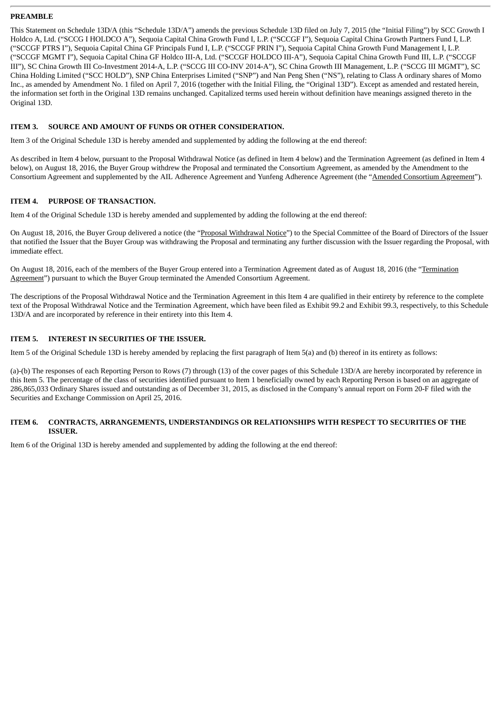#### **PREAMBLE**

This Statement on Schedule 13D/A (this "Schedule 13D/A") amends the previous Schedule 13D filed on July 7, 2015 (the "Initial Filing") by SCC Growth I Holdco A, Ltd. ("SCCG I HOLDCO A"), Sequoia Capital China Growth Fund I, L.P. ("SCCGF I"), Sequoia Capital China Growth Partners Fund I, L.P. ("SCCGF PTRS I"), Sequoia Capital China GF Principals Fund I, L.P. ("SCCGF PRIN I"), Sequoia Capital China Growth Fund Management I, L.P. ("SCCGF MGMT I"), Sequoia Capital China GF Holdco III-A, Ltd. ("SCCGF HOLDCO III-A"), Sequoia Capital China Growth Fund III, L.P. ("SCCGF III"), SC China Growth III Co-Investment 2014-A, L.P. ("SCCG III CO-INV 2014-A"), SC China Growth III Management, L.P. ("SCCG III MGMT"), SC China Holding Limited ("SCC HOLD"), SNP China Enterprises Limited ("SNP") and Nan Peng Shen ("NS"), relating to Class A ordinary shares of Momo Inc., as amended by Amendment No. 1 filed on April 7, 2016 (together with the Initial Filing, the "Original 13D"). Except as amended and restated herein, the information set forth in the Original 13D remains unchanged. Capitalized terms used herein without definition have meanings assigned thereto in the Original 13D.

#### **ITEM 3. SOURCE AND AMOUNT OF FUNDS OR OTHER CONSIDERATION.**

Item 3 of the Original Schedule 13D is hereby amended and supplemented by adding the following at the end thereof:

As described in Item 4 below, pursuant to the Proposal Withdrawal Notice (as defined in Item 4 below) and the Termination Agreement (as defined in Item 4 below), on August 18, 2016, the Buyer Group withdrew the Proposal and terminated the Consortium Agreement, as amended by the Amendment to the Consortium Agreement and supplemented by the AIL Adherence Agreement and Yunfeng Adherence Agreement (the "Amended Consortium Agreement").

#### **ITEM 4. PURPOSE OF TRANSACTION.**

Item 4 of the Original Schedule 13D is hereby amended and supplemented by adding the following at the end thereof:

On August 18, 2016, the Buyer Group delivered a notice (the "Proposal Withdrawal Notice") to the Special Committee of the Board of Directors of the Issuer that notified the Issuer that the Buyer Group was withdrawing the Proposal and terminating any further discussion with the Issuer regarding the Proposal, with immediate effect.

On August 18, 2016, each of the members of the Buyer Group entered into a Termination Agreement dated as of August 18, 2016 (the "Termination Agreement") pursuant to which the Buyer Group terminated the Amended Consortium Agreement.

The descriptions of the Proposal Withdrawal Notice and the Termination Agreement in this Item 4 are qualified in their entirety by reference to the complete text of the Proposal Withdrawal Notice and the Termination Agreement, which have been filed as Exhibit 99.2 and Exhibit 99.3, respectively, to this Schedule 13D/A and are incorporated by reference in their entirety into this Item 4.

#### **ITEM 5. INTEREST IN SECURITIES OF THE ISSUER.**

Item 5 of the Original Schedule 13D is hereby amended by replacing the first paragraph of Item 5(a) and (b) thereof in its entirety as follows:

(a)-(b) The responses of each Reporting Person to Rows (7) through (13) of the cover pages of this Schedule 13D/A are hereby incorporated by reference in this Item 5. The percentage of the class of securities identified pursuant to Item 1 beneficially owned by each Reporting Person is based on an aggregate of 286,865,033 Ordinary Shares issued and outstanding as of December 31, 2015, as disclosed in the Company's annual report on Form 20-F filed with the Securities and Exchange Commission on April 25, 2016.

#### **ITEM 6. CONTRACTS, ARRANGEMENTS, UNDERSTANDINGS OR RELATIONSHIPS WITH RESPECT TO SECURITIES OF THE ISSUER.**

Item 6 of the Original 13D is hereby amended and supplemented by adding the following at the end thereof: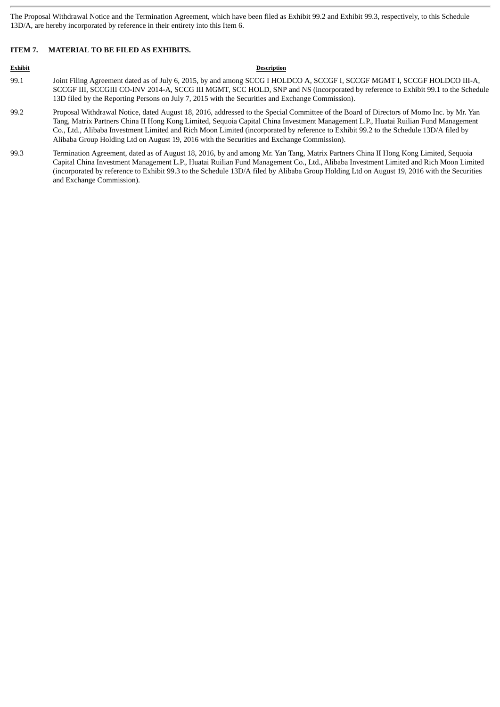The Proposal Withdrawal Notice and the Termination Agreement, which have been filed as Exhibit 99.2 and Exhibit 99.3, respectively, to this Schedule 13D/A, are hereby incorporated by reference in their entirety into this Item 6.

#### **ITEM 7. MATERIAL TO BE FILED AS EXHIBITS.**

#### **Exhibit Description**

- 99.1 Joint Filing Agreement dated as of July 6, 2015, by and among SCCG I HOLDCO A, SCCGF I, SCCGF MGMT I, SCCGF HOLDCO III-A, SCCGF III, SCCGIII CO-INV 2014-A, SCCG III MGMT, SCC HOLD, SNP and NS (incorporated by reference to Exhibit 99.1 to the Schedule 13D filed by the Reporting Persons on July 7, 2015 with the Securities and Exchange Commission).
- 99.2 Proposal Withdrawal Notice, dated August 18, 2016, addressed to the Special Committee of the Board of Directors of Momo Inc. by Mr. Yan Tang, Matrix Partners China II Hong Kong Limited, Sequoia Capital China Investment Management L.P., Huatai Ruilian Fund Management Co., Ltd., Alibaba Investment Limited and Rich Moon Limited (incorporated by reference to Exhibit 99.2 to the Schedule 13D/A filed by Alibaba Group Holding Ltd on August 19, 2016 with the Securities and Exchange Commission).
- 99.3 Termination Agreement, dated as of August 18, 2016, by and among Mr. Yan Tang, Matrix Partners China II Hong Kong Limited, Sequoia Capital China Investment Management L.P., Huatai Ruilian Fund Management Co., Ltd., Alibaba Investment Limited and Rich Moon Limited (incorporated by reference to Exhibit 99.3 to the Schedule 13D/A filed by Alibaba Group Holding Ltd on August 19, 2016 with the Securities and Exchange Commission).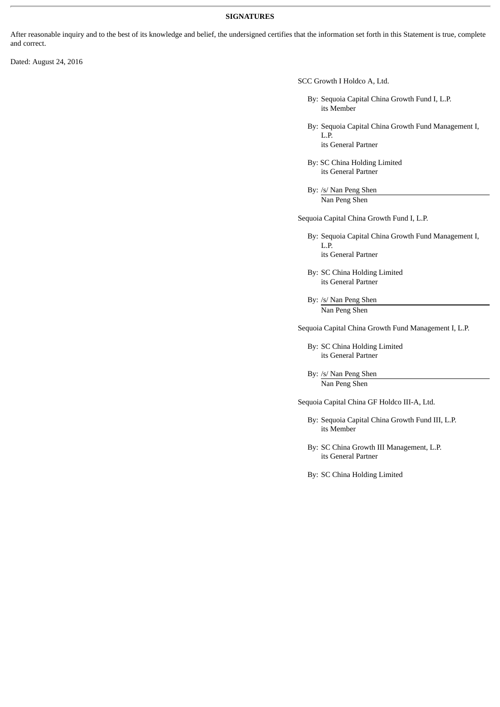#### **SIGNATURES**

After reasonable inquiry and to the best of its knowledge and belief, the undersigned certifies that the information set forth in this Statement is true, complete and correct.

Dated: August 24, 2016

SCC Growth I Holdco A, Ltd.

By: Sequoia Capital China Growth Fund I, L.P. its Member

By: Sequoia Capital China Growth Fund Management I, L.P. its General Partner

By: SC China Holding Limited its General Partner

By: /s/ Nan Peng Shen Nan Peng Shen

Sequoia Capital China Growth Fund I, L.P.

- By: Sequoia Capital China Growth Fund Management I, L.P. its General Partner
- By: SC China Holding Limited its General Partner
- By: /s/ Nan Peng Shen Nan Peng Shen

Sequoia Capital China Growth Fund Management I, L.P.

By: SC China Holding Limited its General Partner

By: /s/ Nan Peng Shen Nan Peng Shen

Sequoia Capital China GF Holdco III-A, Ltd.

By: Sequoia Capital China Growth Fund III, L.P. its Member

By: SC China Growth III Management, L.P. its General Partner

By: SC China Holding Limited